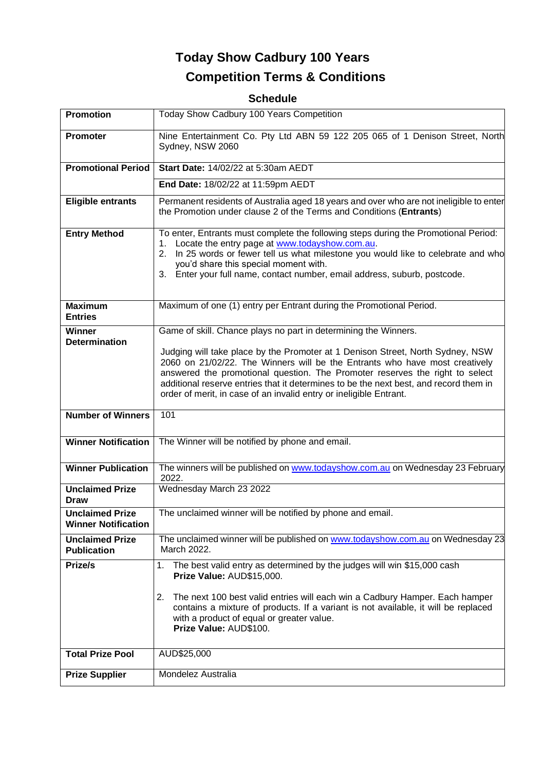# **Today Show Cadbury 100 Years Competition Terms & Conditions**

## **Schedule**

| Promotion                                            | Today Show Cadbury 100 Years Competition                                                                                                                                                                                                                                                                                                                                                                                                                                        |
|------------------------------------------------------|---------------------------------------------------------------------------------------------------------------------------------------------------------------------------------------------------------------------------------------------------------------------------------------------------------------------------------------------------------------------------------------------------------------------------------------------------------------------------------|
| <b>Promoter</b>                                      | Nine Entertainment Co. Pty Ltd ABN 59 122 205 065 of 1 Denison Street, North<br>Sydney, NSW 2060                                                                                                                                                                                                                                                                                                                                                                                |
| <b>Promotional Period</b>                            | Start Date: 14/02/22 at 5:30am AEDT                                                                                                                                                                                                                                                                                                                                                                                                                                             |
|                                                      | End Date: 18/02/22 at 11:59pm AEDT                                                                                                                                                                                                                                                                                                                                                                                                                                              |
| <b>Eligible entrants</b>                             | Permanent residents of Australia aged 18 years and over who are not ineligible to enter<br>the Promotion under clause 2 of the Terms and Conditions (Entrants)                                                                                                                                                                                                                                                                                                                  |
| <b>Entry Method</b>                                  | To enter, Entrants must complete the following steps during the Promotional Period:<br>1. Locate the entry page at www.todayshow.com.au.<br>2. In 25 words or fewer tell us what milestone you would like to celebrate and who<br>you'd share this special moment with.<br>3. Enter your full name, contact number, email address, suburb, postcode.                                                                                                                            |
| <b>Maximum</b><br><b>Entries</b>                     | Maximum of one (1) entry per Entrant during the Promotional Period.                                                                                                                                                                                                                                                                                                                                                                                                             |
| Winner<br><b>Determination</b>                       | Game of skill. Chance plays no part in determining the Winners.<br>Judging will take place by the Promoter at 1 Denison Street, North Sydney, NSW<br>2060 on 21/02/22. The Winners will be the Entrants who have most creatively<br>answered the promotional question. The Promoter reserves the right to select<br>additional reserve entries that it determines to be the next best, and record them in<br>order of merit, in case of an invalid entry or ineligible Entrant. |
| <b>Number of Winners</b>                             | 101                                                                                                                                                                                                                                                                                                                                                                                                                                                                             |
| <b>Winner Notification</b>                           | The Winner will be notified by phone and email.                                                                                                                                                                                                                                                                                                                                                                                                                                 |
| <b>Winner Publication</b>                            | The winners will be published on www.todayshow.com.au on Wednesday 23 February<br>2022.                                                                                                                                                                                                                                                                                                                                                                                         |
| <b>Unclaimed Prize</b><br>Draw                       | Wednesday March 23 2022                                                                                                                                                                                                                                                                                                                                                                                                                                                         |
| <b>Unclaimed Prize</b><br><b>Winner Notification</b> | The unclaimed winner will be notified by phone and email.                                                                                                                                                                                                                                                                                                                                                                                                                       |
| <b>Unclaimed Prize</b><br><b>Publication</b>         | The unclaimed winner will be published on www.todayshow.com.au on Wednesday 23<br>March 2022.                                                                                                                                                                                                                                                                                                                                                                                   |
| Prize/s                                              | The best valid entry as determined by the judges will win \$15,000 cash<br>1.<br>Prize Value: AUD\$15,000.<br>The next 100 best valid entries will each win a Cadbury Hamper. Each hamper<br>2.<br>contains a mixture of products. If a variant is not available, it will be replaced<br>with a product of equal or greater value.<br>Prize Value: AUD\$100.                                                                                                                    |
| <b>Total Prize Pool</b>                              | AUD\$25,000                                                                                                                                                                                                                                                                                                                                                                                                                                                                     |
| <b>Prize Supplier</b>                                | Mondelez Australia                                                                                                                                                                                                                                                                                                                                                                                                                                                              |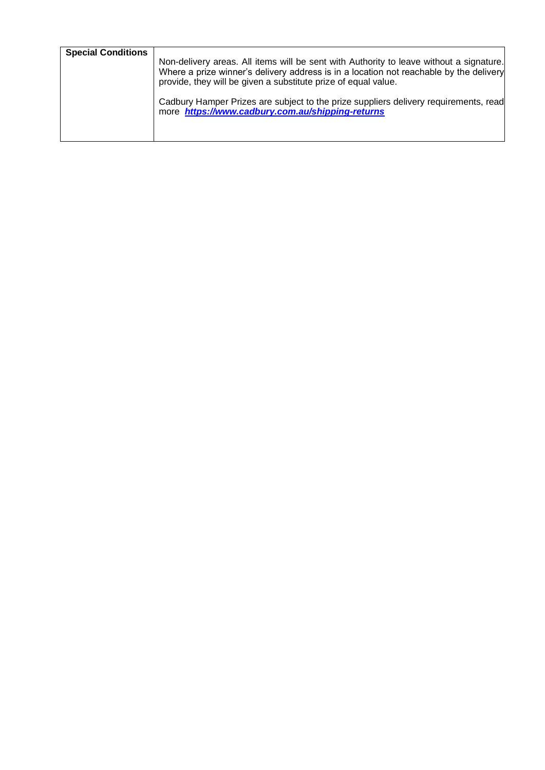| <b>Special Conditions</b> | Non-delivery areas. All items will be sent with Authority to leave without a signature.<br>Where a prize winner's delivery address is in a location not reachable by the delivery<br>provide, they will be given a substitute prize of equal value.<br>Cadbury Hamper Prizes are subject to the prize suppliers delivery requirements, read<br>more https://www.cadbury.com.au/shipping-returns |
|---------------------------|-------------------------------------------------------------------------------------------------------------------------------------------------------------------------------------------------------------------------------------------------------------------------------------------------------------------------------------------------------------------------------------------------|
|                           |                                                                                                                                                                                                                                                                                                                                                                                                 |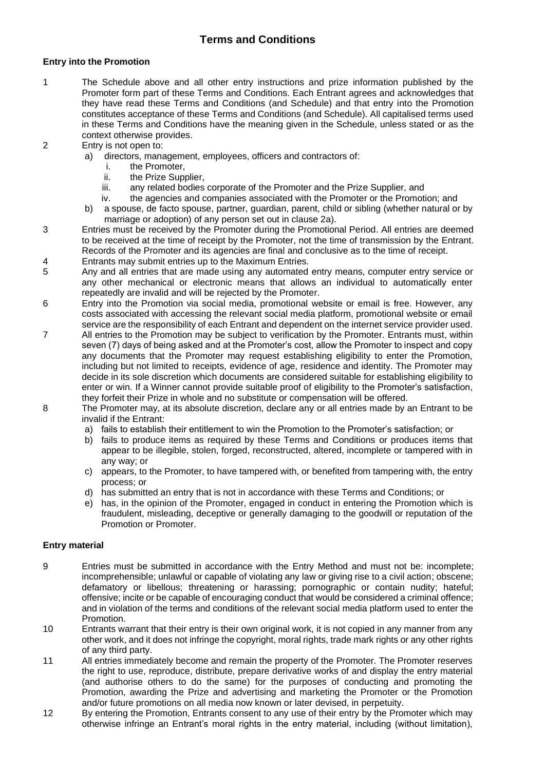### **Terms and Conditions**

#### **Entry into the Promotion**

- 1 The Schedule above and all other entry instructions and prize information published by the Promoter form part of these Terms and Conditions. Each Entrant agrees and acknowledges that they have read these Terms and Conditions (and Schedule) and that entry into the Promotion constitutes acceptance of these Terms and Conditions (and Schedule). All capitalised terms used in these Terms and Conditions have the meaning given in the Schedule, unless stated or as the context otherwise provides.
- 2 Entry is not open to:
	- a) directors, management, employees, officers and contractors of:
		- i. the Promoter,
		- ii. the Prize Supplier,
		- iii. any related bodies corporate of the Promoter and the Prize Supplier, and
		- iv. the agencies and companies associated with the Promoter or the Promotion; and
	- b) a spouse, de facto spouse, partner, guardian, parent, child or sibling (whether natural or by marriage or adoption) of any person set out in clause 2a).
- 3 Entries must be received by the Promoter during the Promotional Period. All entries are deemed to be received at the time of receipt by the Promoter, not the time of transmission by the Entrant. Records of the Promoter and its agencies are final and conclusive as to the time of receipt.
- 4 Entrants may submit entries up to the Maximum Entries.
- 5 Any and all entries that are made using any automated entry means, computer entry service or any other mechanical or electronic means that allows an individual to automatically enter repeatedly are invalid and will be rejected by the Promoter.
- 6 Entry into the Promotion via social media, promotional website or email is free. However, any costs associated with accessing the relevant social media platform, promotional website or email service are the responsibility of each Entrant and dependent on the internet service provider used.
- 7 All entries to the Promotion may be subject to verification by the Promoter. Entrants must, within seven (7) days of being asked and at the Promoter's cost, allow the Promoter to inspect and copy any documents that the Promoter may request establishing eligibility to enter the Promotion, including but not limited to receipts, evidence of age, residence and identity. The Promoter may decide in its sole discretion which documents are considered suitable for establishing eligibility to enter or win. If a Winner cannot provide suitable proof of eligibility to the Promoter's satisfaction, they forfeit their Prize in whole and no substitute or compensation will be offered.
- 8 The Promoter may, at its absolute discretion, declare any or all entries made by an Entrant to be invalid if the Entrant:
	- a) fails to establish their entitlement to win the Promotion to the Promoter's satisfaction; or
	- b) fails to produce items as required by these Terms and Conditions or produces items that appear to be illegible, stolen, forged, reconstructed, altered, incomplete or tampered with in any way; or
	- c) appears, to the Promoter, to have tampered with, or benefited from tampering with, the entry process; or
	- d) has submitted an entry that is not in accordance with these Terms and Conditions; or
	- e) has, in the opinion of the Promoter, engaged in conduct in entering the Promotion which is fraudulent, misleading, deceptive or generally damaging to the goodwill or reputation of the Promotion or Promoter.

#### **Entry material**

- 9 Entries must be submitted in accordance with the Entry Method and must not be: incomplete; incomprehensible; unlawful or capable of violating any law or giving rise to a civil action; obscene; defamatory or libellous; threatening or harassing; pornographic or contain nudity; hateful; offensive; incite or be capable of encouraging conduct that would be considered a criminal offence; and in violation of the terms and conditions of the relevant social media platform used to enter the Promotion.
- 10 Entrants warrant that their entry is their own original work, it is not copied in any manner from any other work, and it does not infringe the copyright, moral rights, trade mark rights or any other rights of any third party.
- 11 All entries immediately become and remain the property of the Promoter. The Promoter reserves the right to use, reproduce, distribute, prepare derivative works of and display the entry material (and authorise others to do the same) for the purposes of conducting and promoting the Promotion, awarding the Prize and advertising and marketing the Promoter or the Promotion and/or future promotions on all media now known or later devised, in perpetuity.
- 12 By entering the Promotion, Entrants consent to any use of their entry by the Promoter which may otherwise infringe an Entrant's moral rights in the entry material, including (without limitation),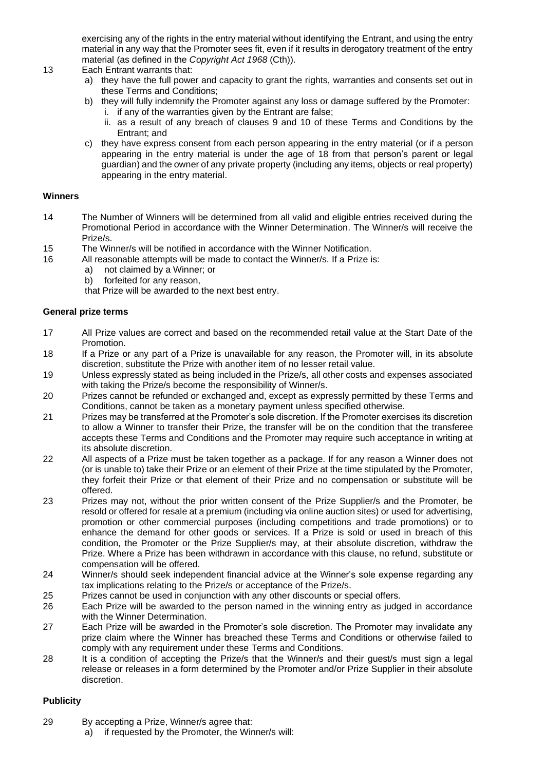exercising any of the rights in the entry material without identifying the Entrant, and using the entry material in any way that the Promoter sees fit, even if it results in derogatory treatment of the entry material (as defined in the *Copyright Act 1968* (Cth)).

#### 13 Each Entrant warrants that:

- a) they have the full power and capacity to grant the rights, warranties and consents set out in these Terms and Conditions;
- b) they will fully indemnify the Promoter against any loss or damage suffered by the Promoter: i. if any of the warranties given by the Entrant are false;
	- ii. as a result of any breach of clauses 9 and 10 of these Terms and Conditions by the Entrant; and
- c) they have express consent from each person appearing in the entry material (or if a person appearing in the entry material is under the age of 18 from that person's parent or legal guardian) and the owner of any private property (including any items, objects or real property) appearing in the entry material.

#### **Winners**

- 14 The Number of Winners will be determined from all valid and eligible entries received during the Promotional Period in accordance with the Winner Determination. The Winner/s will receive the Prize/s.
- 15 The Winner/s will be notified in accordance with the Winner Notification.
- 16 All reasonable attempts will be made to contact the Winner/s. If a Prize is:
	- a) not claimed by a Winner; or
	- b) forfeited for any reason,

that Prize will be awarded to the next best entry.

#### **General prize terms**

- 17 All Prize values are correct and based on the recommended retail value at the Start Date of the Promotion.
- 18 If a Prize or any part of a Prize is unavailable for any reason, the Promoter will, in its absolute discretion, substitute the Prize with another item of no lesser retail value.
- 19 Unless expressly stated as being included in the Prize/s, all other costs and expenses associated with taking the Prize/s become the responsibility of Winner/s.
- 20 Prizes cannot be refunded or exchanged and, except as expressly permitted by these Terms and Conditions, cannot be taken as a monetary payment unless specified otherwise.
- 21 Prizes may be transferred at the Promoter's sole discretion. If the Promoter exercises its discretion to allow a Winner to transfer their Prize, the transfer will be on the condition that the transferee accepts these Terms and Conditions and the Promoter may require such acceptance in writing at its absolute discretion.
- 22 All aspects of a Prize must be taken together as a package. If for any reason a Winner does not (or is unable to) take their Prize or an element of their Prize at the time stipulated by the Promoter, they forfeit their Prize or that element of their Prize and no compensation or substitute will be offered.
- 23 Prizes may not, without the prior written consent of the Prize Supplier/s and the Promoter, be resold or offered for resale at a premium (including via online auction sites) or used for advertising, promotion or other commercial purposes (including competitions and trade promotions) or to enhance the demand for other goods or services. If a Prize is sold or used in breach of this condition, the Promoter or the Prize Supplier/s may, at their absolute discretion, withdraw the Prize. Where a Prize has been withdrawn in accordance with this clause, no refund, substitute or compensation will be offered.
- 24 Winner/s should seek independent financial advice at the Winner's sole expense regarding any tax implications relating to the Prize/s or acceptance of the Prize/s.
- 25 Prizes cannot be used in conjunction with any other discounts or special offers.
- 26 Each Prize will be awarded to the person named in the winning entry as judged in accordance with the Winner Determination.
- 27 Each Prize will be awarded in the Promoter's sole discretion. The Promoter may invalidate any prize claim where the Winner has breached these Terms and Conditions or otherwise failed to comply with any requirement under these Terms and Conditions.
- 28 It is a condition of accepting the Prize/s that the Winner/s and their guest/s must sign a legal release or releases in a form determined by the Promoter and/or Prize Supplier in their absolute discretion.

#### **Publicity**

- 29 By accepting a Prize, Winner/s agree that:
	- a) if requested by the Promoter, the Winner/s will: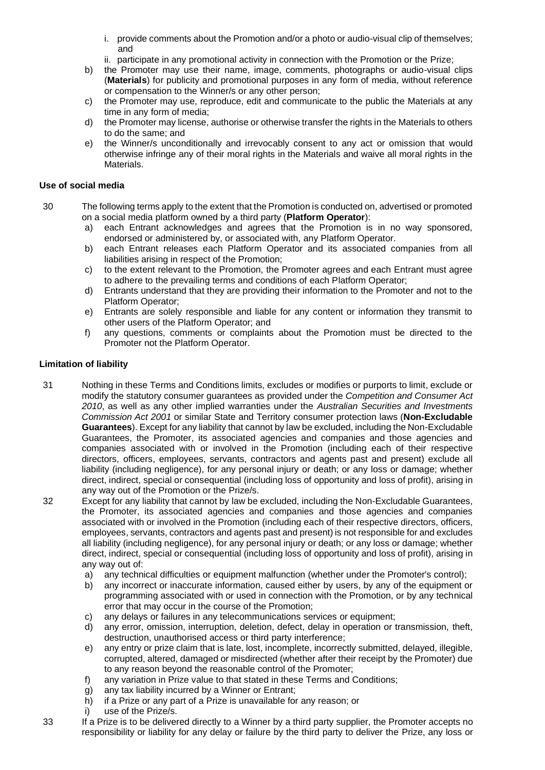- i. provide comments about the Promotion and/or a photo or audio-visual clip of themselves; and
- ii. participate in any promotional activity in connection with the Promotion or the Prize;
- b) the Promoter may use their name, image, comments, photographs or audio-visual clips (**Materials**) for publicity and promotional purposes in any form of media, without reference or compensation to the Winner/s or any other person;
- c) the Promoter may use, reproduce, edit and communicate to the public the Materials at any time in any form of media;
- d) the Promoter may license, authorise or otherwise transfer the rights in the Materials to others to do the same; and
- e) the Winner/s unconditionally and irrevocably consent to any act or omission that would otherwise infringe any of their moral rights in the Materials and waive all moral rights in the Materials.

#### **Use of social media**

- 30 The following terms apply to the extent that the Promotion is conducted on, advertised or promoted on a social media platform owned by a third party (**Platform Operator**):
	- a) each Entrant acknowledges and agrees that the Promotion is in no way sponsored, endorsed or administered by, or associated with, any Platform Operator.
	- b) each Entrant releases each Platform Operator and its associated companies from all liabilities arising in respect of the Promotion;
	- c) to the extent relevant to the Promotion, the Promoter agrees and each Entrant must agree to adhere to the prevailing terms and conditions of each Platform Operator;
	- d) Entrants understand that they are providing their information to the Promoter and not to the Platform Operator;
	- e) Entrants are solely responsible and liable for any content or information they transmit to other users of the Platform Operator; and
	- f) any questions, comments or complaints about the Promotion must be directed to the Promoter not the Platform Operator.

#### **Limitation of liability**

- 31 Nothing in these Terms and Conditions limits, excludes or modifies or purports to limit, exclude or modify the statutory consumer guarantees as provided under the *Competition and Consumer Act 2010*, as well as any other implied warranties under the *Australian Securities and Investments Commission Act 2001* or similar State and Territory consumer protection laws (**Non-Excludable Guarantees**). Except for any liability that cannot by law be excluded, including the Non-Excludable Guarantees, the Promoter, its associated agencies and companies and those agencies and companies associated with or involved in the Promotion (including each of their respective directors, officers, employees, servants, contractors and agents past and present) exclude all liability (including negligence), for any personal injury or death; or any loss or damage; whether direct, indirect, special or consequential (including loss of opportunity and loss of profit), arising in any way out of the Promotion or the Prize/s.
- 32 Except for any liability that cannot by law be excluded, including the Non-Excludable Guarantees, the Promoter, its associated agencies and companies and those agencies and companies associated with or involved in the Promotion (including each of their respective directors, officers, employees, servants, contractors and agents past and present) is not responsible for and excludes all liability (including negligence), for any personal injury or death; or any loss or damage; whether direct, indirect, special or consequential (including loss of opportunity and loss of profit), arising in any way out of:
	- a) any technical difficulties or equipment malfunction (whether under the Promoter's control);
	- b) any incorrect or inaccurate information, caused either by users, by any of the equipment or programming associated with or used in connection with the Promotion, or by any technical error that may occur in the course of the Promotion;
	- c) any delays or failures in any telecommunications services or equipment;
	- d) any error, omission, interruption, deletion, defect, delay in operation or transmission, theft, destruction, unauthorised access or third party interference;
	- e) any entry or prize claim that is late, lost, incomplete, incorrectly submitted, delayed, illegible, corrupted, altered, damaged or misdirected (whether after their receipt by the Promoter) due to any reason beyond the reasonable control of the Promoter;
	- f) any variation in Prize value to that stated in these Terms and Conditions;
	- g) any tax liability incurred by a Winner or Entrant;
	- h) if a Prize or any part of a Prize is unavailable for any reason; or
	- i) use of the Prize/s.
- 33 If a Prize is to be delivered directly to a Winner by a third party supplier, the Promoter accepts no responsibility or liability for any delay or failure by the third party to deliver the Prize, any loss or